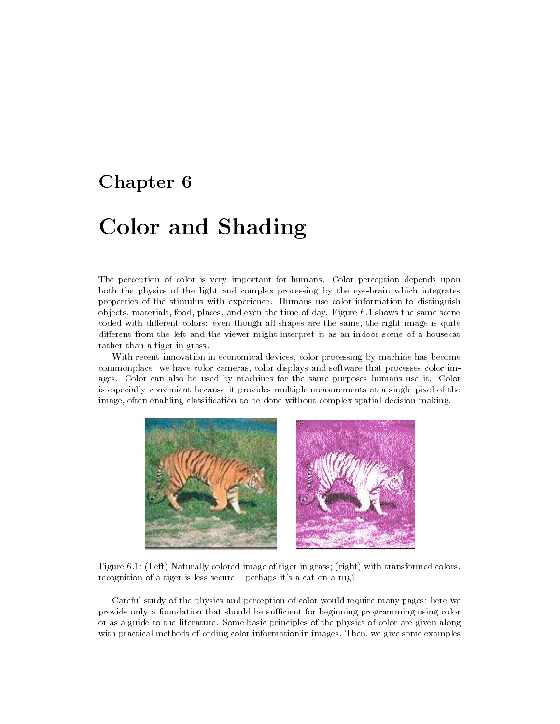# Chapter 6

# Color and Shading

The perception of color is very important for humans. Color perception depends upon both the physics of the light and complex processing by the eye-brain which integrates properties of the stimulus with experience. Humans use color information to distinguish objects, materials, food, places, and even the time of day. Figure 6.1 shows the same scene coded with different colors: even though all shapes are the same, the right image is quite different from the left and the viewer might interpret it as an indoor scene of a housecat rather than a tiger in grass.

With recent innovation in economical devices, color processing by machine has become commonplace: we have color cameras, color displays and software that processes color images. Color can also be used by machines for the same purposes humans use it. Color is especially convenient because it provides multiple measurements at a single pixel of the image, often enabling classication to be done without complex spatial decision-making.



Figure 6.1: (Left) Naturally colored image of tiger in grass; (right) with transformed colors, recognition of a tiger is less secure  $=$  perhaps it's a cat on a rug?

Careful study of the physics and perception of color would require many pages: here we provide only a foundation that should be sufficient for beginning programming using color or as a guide to the literature. Some basic principles of the physics of color are given along with practical methods of coding color information in images. Then, we give some examples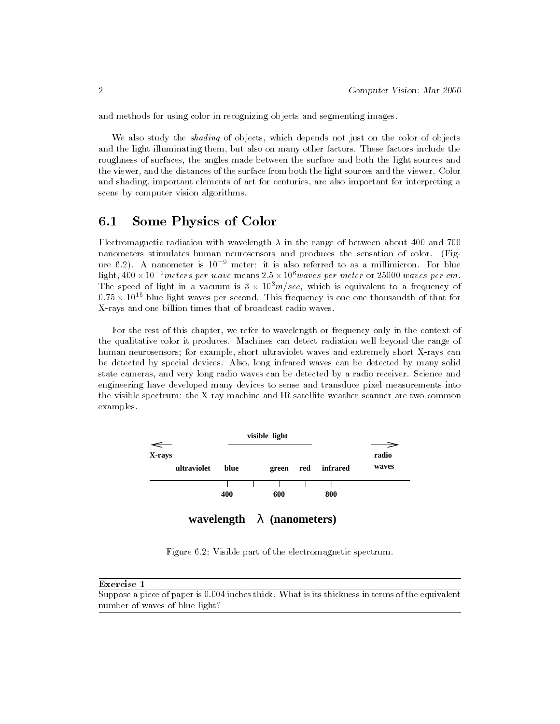and methods for using color in recognizing objects and segmenting images.

We also study the *shading* of objects, which depends not just on the color of objects and the light illuminating them, but also on many other factors. These factors include the roughness of surfaces, the angles made between the surface and both the light sources and the viewer, and the distances of the surface from both the light sources and the viewer. Color and shading, important elements of art for centuries, are also important for interpreting a scene by computer vision algorithms.

#### 6.1Some Physics of Color

Electromagnetic radiation with wavelength  $\lambda$  in the range of between about 400 and 700 nanometers stimulates human neurosensors and produces the sensation of color. (Figure 6.2). A nanometer is  $10^{-9}$  meter: it is also referred to as a millimicron. For blue light,  $400\times10^{-8}$  meters per wave means  $2.5\times10^{6}$  waves per meter or 25000 waves per cm. The speed of light in a vacuum is  $3 \times 10^8 m/sec$ , which is equivalent to a frequency of U.75  $\times$  10  $^\circ$  blue light waves per second. This frequency is one one thousandth of that for X-rays and one billion times that of broadcast radio waves.

For the rest of this chapter, we refer to wavelength or frequency only in the context of the qualitative color it produces. Machines can detect radiation well beyond the range of human neurosensors; for example, short ultraviolet waves and extremely short X-rays can be detected by special devices. Also, long infrared waves can be detected by many solid state cameras, and very long radio waves can be detected by a radio receiver. Science and engineering have developed many devices to sense and transduce pixel measurements into the visible spectrum: the X-ray machine and IR satellite weather scanner are two common examples.



**wavelength** λ **(nanometers)**

Figure 6.2: Visible part of the electromagnetic spectrum.

### Exercise 1

Suppose a piece of paper is 0.004 inches thick. What is its thickness in terms of the equivalent number of waves of blue light?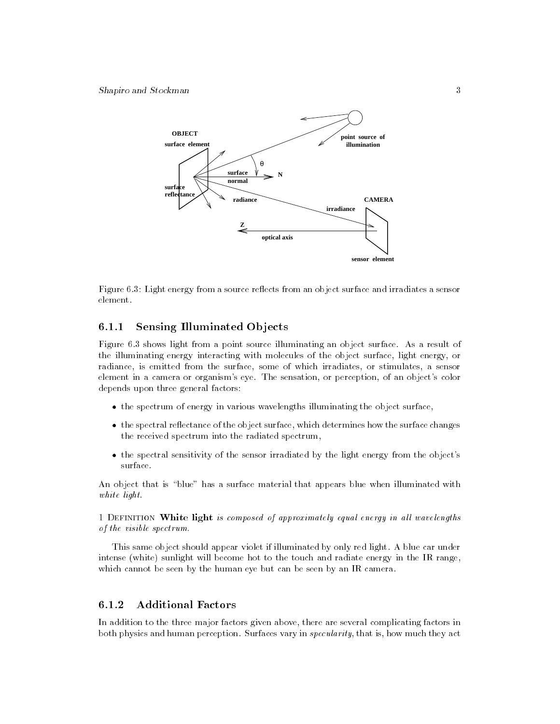Shapiro and Stockman 3



Figure 6.3: Light energy from a source reflects from an object surface and irradiates a sensor

# 6.1.1 Sensing Illuminated Objects

Figure 6.3 shows light from a point source illuminating an object surface. As a result of the illuminating energy interacting with molecules of the object surface, light energy, or radiance, is emitted from the surface, some of which irradiates, or stimulates, a sensor element in a camera or organism's eye. The sensation, or perception, of an object's color depends upon three general factors:

- $\bullet$  the spectrum of energy in various wavelengths illuminating the object surface,  $\phantom{a}$
- $\bullet$  the spectral reflectance of the object surface, which determines how the surface changes  $\hspace{0.1mm}$ the received spectrum into the radiated spectrum,
- the spectral sensitivity of the sensor irradiated by the light energy from the object's surface.

An object that is "blue" has a surface material that appears blue when illuminated with white light.

1 DEFINITION White light is composed of approximately equal energy in all wavelengths of the visible spectrum.

This same object should appear violet if illuminated by only red light. A blue car under intense (white) sunlight will become hot to the touch and radiate energy in the IR range, which cannot be seen by the human eye but can be seen by an IR camera.

# 6.1.2 Additional Factors

In addition to the three major factors given above, there are several complicating factors in both physics and human perception. Surfaces vary in specularity, that is, how much they act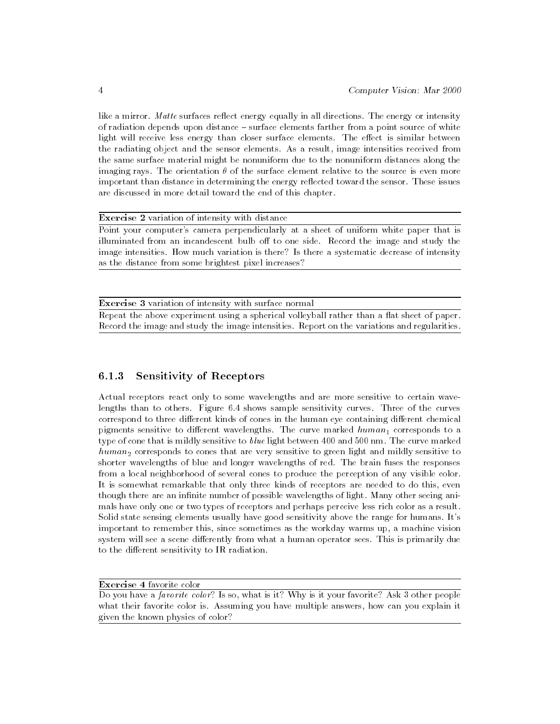like a mirror. Matte surfaces reflect energy equally in all directions. The energy or intensity of radiation depends upon distance - surface elements farther from a point source of white light will receive less energy than closer surface elements. The effect is similar between the radiating object and the sensor elements. As a result, image intensities received from the same surface material might be nonuniform due to the nonuniform distances along the imaging rays. The orientation  $\theta$  of the surface element relative to the source is even more important than distance in determining the energy reflected toward the sensor. These issues are discussed in more detail toward the end of this chapter.

Exercise 2 variation of intensity with distance

Point your computer's camera perpendicularly at a sheet of uniform white paper that is illuminated from an incandescent bulb off to one side. Record the image and study the image intensities. How much variation is there? Is there a systematic decrease of intensity as the distance from some brightest pixel increases?

Exercise 3 variation of intensity with surface normal

Repeat the above experiment using a spherical volleyball rather than a flat sheet of paper. Record the image and study the image intensities. Report on the variations and regularities.

# 6.1.3 Sensitivity of Receptors

Actual receptors react only to some wavelengths and are more sensitive to certain wavelengths than to others. Figure 6.4 shows sample sensitivity curves. Three of the curves correspond to three different kinds of cones in the human eye containing different chemical pigments sensitive to different wavelengths. The curve marked  $human_1$  corresponds to a type of cone that is mildly sensitive to blue light between 400 and 500 nm. The curve marked  $human_2$  corresponds to cones that are very sensitive to green light and mildly sensitive to shorter wavelengths of blue and longer wavelengths of red. The brain fuses the responses from a local neighborhood of several cones to produce the perception of any visible color. It is somewhat remarkable that only three kinds of receptors are needed to do this, even though there are an infinite number of possible wavelengths of light. Many other seeing animals have only one or two types of receptors and perhaps perceive less rich color as a result. Solid state sensing elements usually have good sensitivity above the range for humans. It's important to remember this, since sometimes as the workday warms up, a machine vision system will see a scene differently from what a human operator sees. This is primarily due to the different sensitivity to IR radiation.

Exercise 4 favorite color

Do you have a *favorite color*? Is so, what is it? Why is it your favorite? Ask 3 other people what their favorite color is. Assuming you have multiple answers, how can you explain it given the known physics of color?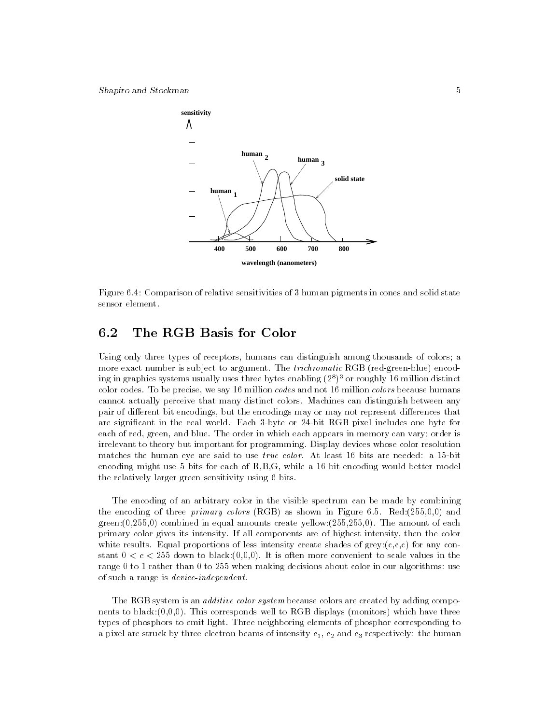

Figure 6.4: Comparison of relative sensitivities of 3 human pigments in cones and solid state sensor element.

#### 6.2The RGB Basis for Color

Using only three types of receptors, humans can distinguish among thousands of colors; a more exact number is subject to argument. The trichromatic RGB (red-green-blue) encoding in graphics systems usually uses three bytes enabling (2°)° or roughly 10 million distinct color codes. To be precise, we say 16 million *codes* and not 16 million *colors* because humans cannot actually perceive that many distinct colors. Machines can distinguish between any pair of different bit encodings, but the encodings may or may not represent differences that are signicant in the real world. Each 3-byte or 24-bit RGB pixel includes one byte for each of red, green, and blue. The order in which each appears in memory can vary; order is irrelevant to theory but important for programming. Display devices whose color resolution matches the human eye are said to use *true color*. At least 16 bits are needed: a 15-bit encoding might use 5 bits for each of R,B,G, while a 16-bit encoding would better model the relatively larger green sensitivity using 6 bits.

The encoding of an arbitrary color in the visible spectrum can be made by combining the encoding of three primary colors (RGB) as shown in Figure 6.5. Red:(255,0,0) and green:(0,255,0) combined in equal amounts create yellow:(255,255,0). The amount of each primary color gives its intensity. If all components are of highest intensity, then the color white results. Equal proportions of less intensity create shades of  $grey:(c,c,c)$  for any constant  $0 < c < 255$  down to black:(0,0,0). It is often more convenient to scale values in the range 0 to 1 rather than 0 to 255 when making decisions about color in our algorithms: use of such a range is device-independent.

The RGB system is an *additive color system* because colors are created by adding components to black: $(0,0,0)$ . This corresponds well to RGB displays (monitors) which have three types of phosphors to emit light. Three neighboring elements of phosphor corresponding to a pixel are struck by three electron beams of intensity  $c_1$ ,  $c_2$  and  $c_3$  respectively: the human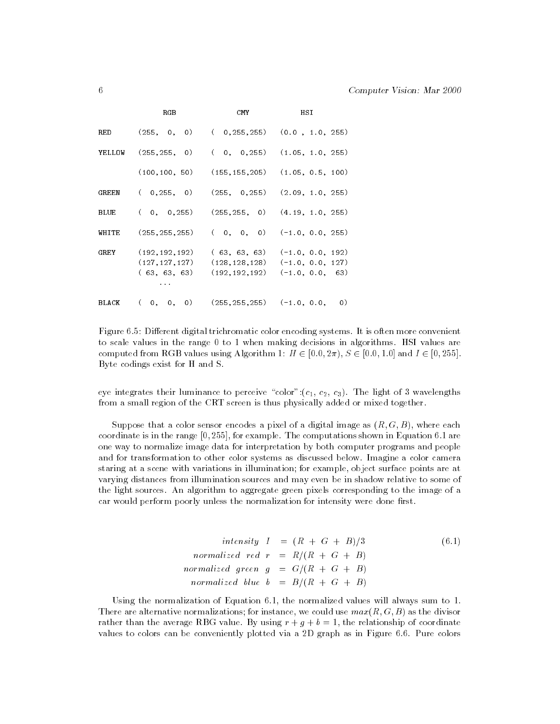|             | RGB                                                     | CMY                                | HSI                                                                          |
|-------------|---------------------------------------------------------|------------------------------------|------------------------------------------------------------------------------|
| RED         | $(255, 0, 0)$ $(0.255, 255)$ $(0.0, 1.0, 255)$          |                                    |                                                                              |
| YELLOW      | $(255, 255, 0)$ ( 0, 0,255) (1.05, 1.0, 255)            |                                    |                                                                              |
|             | $(100, 100, 50)$ $(155, 155, 205)$ $(1.05, 0.5, 100)$   |                                    |                                                                              |
| GREEN       | (0, 255, 0)                                             |                                    | $(255, 0, 255)$ $(2.09, 1.0, 255)$                                           |
| <b>BLUE</b> | $(0, 0, 255)$ $(255, 255, 0)$ $(4.19, 1.0, 255)$        |                                    |                                                                              |
| WHITE       | $(255, 255, 255)$ ( 0, 0, 0) $(-1.0, 0.0, 255)$         |                                    |                                                                              |
|             | GREY (192, 192, 192)<br>(127, 127, 127)<br>(63, 63, 63) | (128, 128, 128)<br>(192, 192, 192) | $(63, 63, 63)$ $(-1.0, 0.0, 192)$<br>$(-1.0, 0.0, 127)$<br>$(-1.0, 0.0, 63)$ |
| BLACK       | $(0, 0, 0)$ $(255, 255, 255)$ $(-1.0, 0.0, 0)$          |                                    |                                                                              |

Figure 6.5: Different digital trichromatic color encoding systems. It is often more convenient to scale values in the range 0 to 1 when making decisions in algorithms. HSI values are computed from RGB values using Algorithm 1:  $H \in [0.0, 2\pi)$ ,  $S \in [0.0, 1.0]$  and  $I \in [0, 255]$ . Byte codings exist for H and S.

eye integrates their luminance to perceive "color": $(c_1, c_2, c_3)$ . The light of 3 wavelengths from a small region of the CRT screen is thus physically added or mixed together.

Suppose that a color sensor encodes a pixel of a digital image as  $(R, G, B)$ , where each coordinate is in the range [0; 255], for example. The computations shown in Equation 6.1 are one way to normalize image data for interpretation by both computer programs and people and for transformation to other color systems as discussed below. Imagine a color camera staring at a scene with variations in illumination; for example, object surface points are at varying distances from illumination sources and may even be in shadow relative to some of the light sources. An algorithm to aggregate green pixels corresponding to the image of a car would perform poorly unless the normalization for intensity were done first.

intensity 
$$
I = (R + G + B)/3
$$
 (6.1)  
normalized red  $r = R/(R + G + B)$   
normalized green  $g = G/(R + G + B)$   
normalized blue  $b = B/(R + G + B)$ 

Using the normalization of Equation 6.1, the normalized values will always sum to 1. There are alternative normalizations; for instance, we could use  $max(R, G, B)$  as the divisor rather than the average RBG value. By using  $r + g + b = 1$ , the relationship of coordinate values to colors can be conveniently plotted via a 2D graph as in Figure 6.6. Pure colors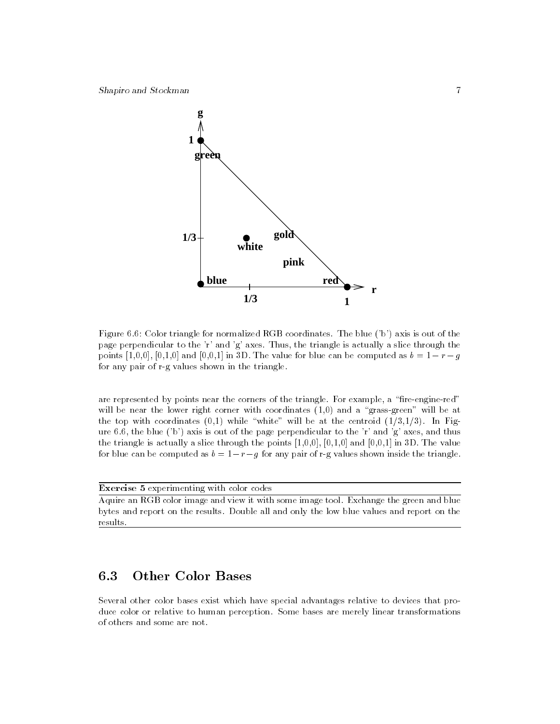

Figure 6.6: Color triangle for normalized RGB coordinates. The blue ('b') axis is out of the page perpendicular to the 'r' and 'g' axes. Thus, the triangle is actually a slice through the points  $[1,0,0]$ ,  $[0,1,0]$  and  $[0,0,1]$  in 3D. The value for blue can be computed as  $b = 1 - r - g$ for any pair of r-g values shown in the triangle.

are represented by points near the corners of the triangle. For example, a "fire-engine-red" will be near the lower right corner with coordinates  $(1,0)$  and a "grass-green" will be at the top with coordinates  $(0,1)$  while "white" will be at the centroid  $(1/3,1/3)$ . In Figure 6.6, the blue ('b') axis is out of the page perpendicular to the 'r' and 'g' axes, and thus the triangle is actually a slice through the points  $[1,0,0]$ ,  $[0,1,0]$  and  $[0,0,1]$  in 3D. The value for blue can be computed as  $b = 1-r-g$  for any pair of r-g values shown inside the triangle.

**Exercise 5** experimenting with color codes

Aquire an RGB color image and view it with some image tool. Exchange the green and blue bytes and report on the results. Double all and only the low blue values and report on the results.

#### 6.3Other Color Bases

Several other color bases exist which have special advantages relative to devices that produce color or relative to human perception. Some bases are merely linear transformations of others and some are not.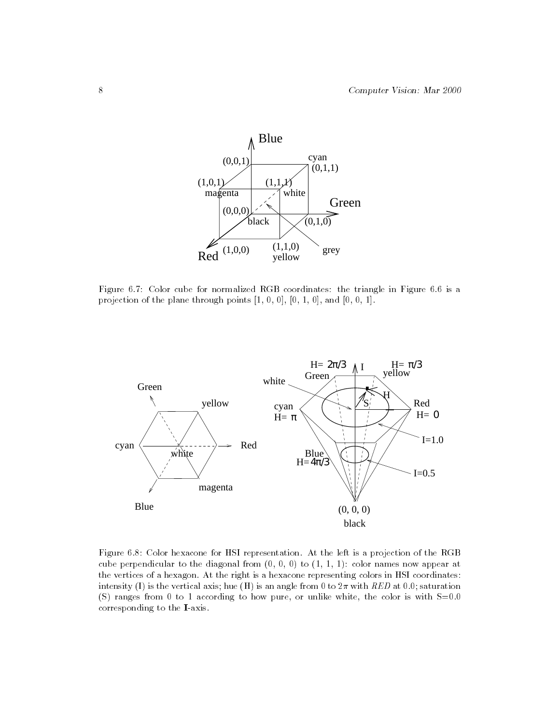

Figure 6.7: Color cube for normalized RGB coordinates: the triangle in Figure 6.6 is a projection of the plane through points [1, 0, 0], [0, 1, 0], and [0, 0, 1].



Figure 6.8: Color hexacone for HSI representation. At the left is a projection of the RGB cube perpendicular to the diagonal from  $(0, 0, 0)$  to  $(1, 1, 1)$ : color names now appear at the vertices of a hexagon. At the right is a hexacone representing colors in HSI coordinates: intensity (I) is the vertical axis; hue (H) is an angle from 0 to  $2\pi$  with RED at 0.0; saturation (S) ranges from 0 to 1 according to how pure, or unlike white, the color is with  $S=0.0$ corresponding to the I-axis.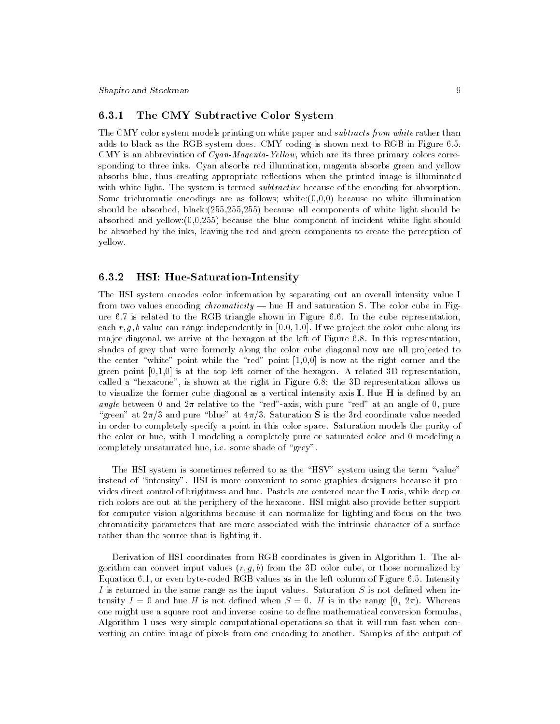# 6.3.1 The CMY Subtractive Color System

The CMY color system models printing on white paper and *subtracts from white* rather than adds to black as the RGB system does. CMY coding is shown next to RGB in Figure 6.5. CMY is an abbreviation of  $Cyan-Magenta-Yellow$ , which are its three primary colors corresponding to three inks. Cyan absorbs red illumination, magenta absorbs green and yellow absorbs blue, thus creating appropriate reflections when the printed image is illuminated with white light. The system is termed *subtractive* because of the encoding for absorption. Some trichromatic encodings are as follows; white: $(0,0,0)$  because no white illumination should be absorbed, black:(255,255,255) because all components of white light should be absorbed and yellow: $(0,0,255)$  because the blue component of incident white light should be absorbed by the inks, leaving the red and green components to create the perception of yellow.

### 6.3.2 HSI: Hue-Saturation-Intensity

The HSI system encodes color information by separating out an overall intensity value I from two values encoding *chromaticity*  $-$  hue H and saturation S. The color cube in Figure 6.7 is related to the RGB triangle shown in Figure 6.6. In the cube representation, each  $r, g, b$  value can range independently in [0.0, 1.0]. If we project the color cube along its major diagonal, we arrive at the hexagon at the left of Figure 6.8. In this representation, shades of grey that were formerly along the color cube diagonal now are all projected to the center "white" point while the "red" point  $[1,0,0]$  is now at the right corner and the green point  $[0,1,0]$  is at the top left corner of the hexagon. A related 3D representation, called a "hexacone", is shown at the right in Figure 6.8: the 3D representation allows us to visualize the former cube diagonal as a vertical intensity axis  $I$ . Hue  $H$  is defined by an angle between 0 and  $2\pi$  relative to the "red"-axis, with pure "red" at an angle of 0, pure "green" at  $2\pi/3$  and pure "blue" at  $4\pi/3$ . Saturation S is the 3rd coordinate value needed in order to completely specify a point in this color space. Saturation models the purity of the color or hue, with 1 modeling a completely pure or saturated color and 0 modeling a completely unsaturated hue, i.e. some shade of "grey".

The HSI system is sometimes referred to as the "HSV" system using the term "value" instead of "intensity". HSI is more convenient to some graphics designers because it provides direct control of brightness and hue. Pastels are centered near the I axis, while deep or rich colors are out at the periphery of the hexacone. HSI might also provide better support for computer vision algorithms because it can normalize for lighting and focus on the two chromaticity parameters that are more associated with the intrinsic character of a surface rather than the source that is lighting it.

Derivation of HSI coordinates from RGB coordinates is given in Algorithm 1. The algorithm can convert input values  $(r, g, b)$  from the 3D color cube, or those normalized by Equation 6.1, or even byte-coded RGB values as in the left column of Figure 6.5. Intensity I is returned in the same range as the input values. Saturation  $S$  is not defined when intensity  $I = 0$  and hue H is not defined when  $S = 0$ . H is in the range [0,  $2\pi$ ). Whereas one might use a square root and inverse cosine to define mathematical conversion formulas, Algorithm 1 uses very simple computational operations so that it will run fast when converting an entire image of pixels from one encoding to another. Samples of the output of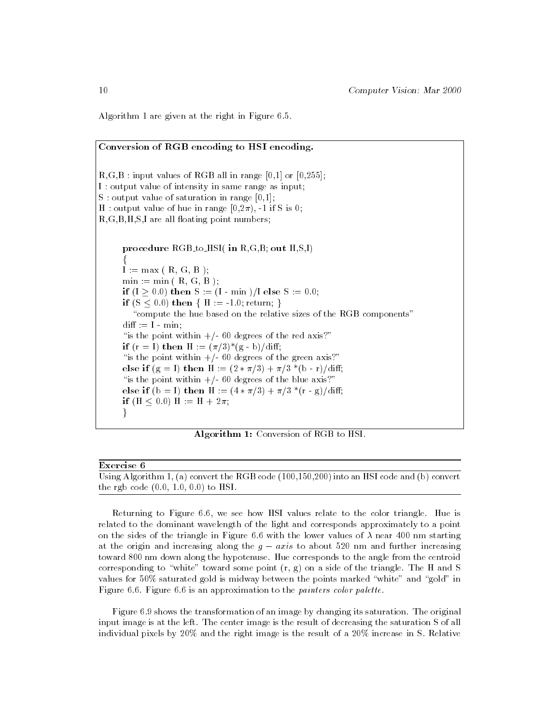Algorithm 1 are given at the right in Figure 6.5.

# Conversion of RGB encoding to HSI encoding.  $R,G,B:$  input values of RGB all in range  $[0,1]$  or  $[0,255]$ ; I : output value of intensity in same range as input; S : output value of saturation in range  $[0,1]$ ; H : output value of hue in range  $[0,2\pi)$ , -1 if S is 0;  $R, G, B, H, S, I$  are all floating point numbers; procedure RGB to HSI( in R,G,B; out H,S,I) f  $I := max (R, G, B)$ ;  $\min := \min (R, G, B)$ ; if  $(I \ge 0.0)$  then S :=  $(I - \min)/I$  else S := 0.0; if  $(S < 0.0)$  then  $\{ H := -1.0;$  return;  $\}$ "compute the hue based on the relative sizes of the RGB components"  $\text{diff} := I - \min;$ "is the point within  $+/- 60$  degrees of the red axis?" if  $(r = 1)$  then  $H := (\pi/3)^*(g - b)/diff;$ "is the point within  $+/- 60$  degrees of the green axis?" else if  $(g = I)$  then  $H := (2 * \pi/3) + \pi/3 * (b - r)/diff;$ "is the point within  $+/- 60$  degrees of the blue axis?" else if  $(b = 1)$  then  $H := (4 * \pi/3) + \pi/3 * (r - g)/diff;$ if (H  $\leq$  0.0) H := H + 2 $\pi$ ;  $\mathcal{F}$

Algorithm 1: Conversion of RGB to HSI.

| Exercise 6                                                                                   |
|----------------------------------------------------------------------------------------------|
| Using Algorithm 1, (a) convert the RGB code $(100,150,200)$ into an HSI code and (b) convert |
| the rgb code $(0.0, 1.0, 0.0)$ to HSI.                                                       |

Returning to Figure 6.6, we see how HSI values relate to the color triangle. Hue is related to the dominant wavelength of the light and corresponds approximately to a point on the sides of the triangle in Figure 6.6 with the lower values of  $\lambda$  near 400 nm starting at the origin and increasing along the  $g - axis$  to about 520 nm and further increasing toward 800 nm down along the hypotenuse. Hue corresponds to the angle from the centroid corresponding to "white" toward some point  $(r, g)$  on a side of the triangle. The H and S values for  $50\%$  saturated gold is midway between the points marked "white" and "gold" in Figure 6.6. Figure 6.6 is an approximation to the painters color palette.

Figure 6.9 shows the transformation of an image by changing its saturation. The original input image is at the left. The center image is the result of decreasing the saturation S of all individual pixels by 20% and the right image is the result of a 20% increase in S. Relative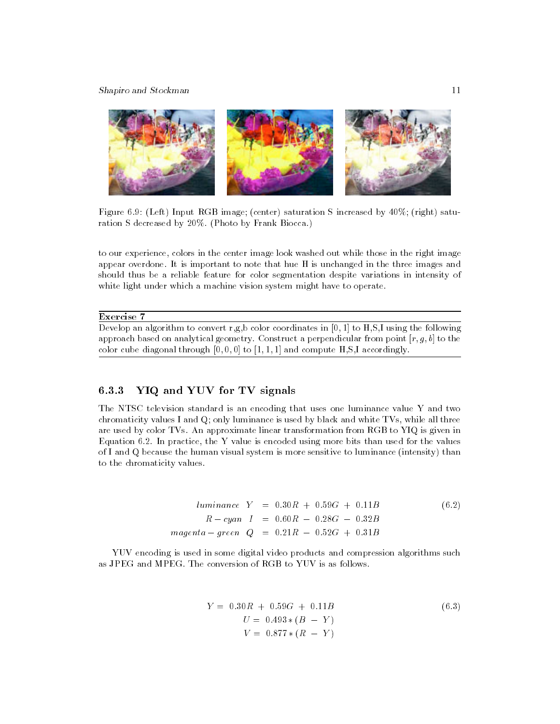Shapiro and Stockman 11



Figure 6.9: (Left) Input RGB image; (center) saturation S increased by 40%; (right) saturation S decreased by 20%. (Photo by Frank Biocca.)

to our experience, colors in the center image look washed out while those in the right image appear overdone. It is important to note that hue H is unchanged in the three images and should thus be a reliable feature for color segmentation despite variations in intensity of white light under which a machine vision system might have to operate.

### Exercise 7

Develop an algorithm to convert r,g,b color coordinates in [0, 1] to H,S,I using the following approach based on analytical geometry. Construct a perpendicular from point  $[r, g, b]$  to the color cube diagonal through  $[0, 0, 0]$  to  $[1, 1, 1]$  and compute H,S,I accordingly.

#### 6.3.3 YIQ and YUV for TV signals

The NTSC television standard is an encoding that uses one luminance value Y and two chromaticity values I and Q; only luminance is used by black and white TVs, while all three are used by color TVs. An approximate linear transformation from RGB to YIQ is given in Equation 6.2. In practice, the Y value is encoded using more bits than used for the values of I and Q because the human visual system is more sensitive to luminance (intensity) than to the chromaticity values.

> $luminance \ Y = 0.30R + 0.59G + 0.11B$  (6.2)  $R-cyan$   $I = 0.60R - 0.28G - 0.32B$  $magenta - green Q = 0.21R - 0.52G + 0.31B$

YUV encoding is used in some digital video products and compression algorithms such as JPEG and MPEG. The conversion of RGB to YUV is as follows.

$$
Y = 0.30R + 0.59G + 0.11B
$$
  
\n
$$
U = 0.493 * (B - Y)
$$
  
\n
$$
V = 0.877 * (R - Y)
$$
  
\n(6.3)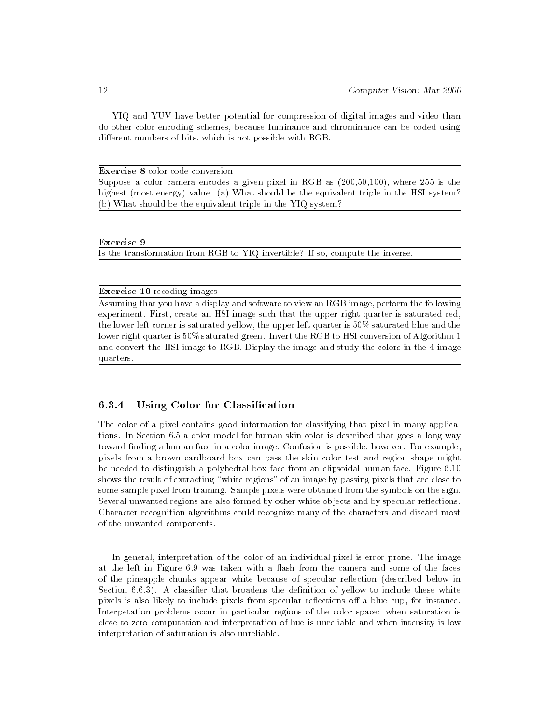YIQ and YUV have better potential for compression of digital images and video than do other color encoding schemes, because luminance and chrominance can be coded using different numbers of bits, which is not possible with RGB.

Exercise 8 color code conversion

Suppose a color camera encodes a given pixel in RGB as (200,50,100), where 255 is the highest (most energy) value. (a) What should be the equivalent triple in the HSI system? (b) What should be the equivalent triple in the YIQ system?

### Exercise 9

Is the transformation from RGB to YIQ invertible? If so, compute the inverse.

# Exercise 10 recoding images

Assuming that you have a display and software to view an RGB image, perform the following experiment. First, create an HSI image such that the upper right quarter is saturated red, the lower left corner is saturated yellow, the upper left quarter is 50% saturated blue and the lower right quarter is 50% saturated green. Invert the RGB to HSI conversion of Algorithm 1 and convert the HSI image to RGB. Display the image and study the colors in the 4 image quarters.

#### Using Color for Classification  $6.3.4$

The color of a pixel contains good information for classifying that pixel in many applications. In Section 6.5 a color model for human skin color is described that goes a long way toward finding a human face in a color image. Confusion is possible, however. For example, pixels from a brown cardboard box can pass the skin color test and region shape might be needed to distinguish a polyhedral box face from an elipsoidal human face. Figure 6.10 shows the result of extracting "white regions" of an image by passing pixels that are close to some sample pixel from training. Sample pixels were obtained from the symbols on the sign. Several unwanted regions are also formed by other white objects and by specular reflections. Character recognition algorithms could recognize many of the characters and discard most of the unwanted components.

In general, interpretation of the color of an individual pixel is error prone. The image at the left in Figure 6.9 was taken with a flash from the camera and some of the faces of the pineapple chunks appear white because of specular reflection (described below in Section 6.6.3). A classifier that broadens the definition of yellow to include these white pixels is also likely to include pixels from specular reflections off a blue cup, for instance. Interpetation problems occur in particular regions of the color space: when saturation is close to zero computation and interpretation of hue is unreliable and when intensity is low interpretation of saturation is also unreliable.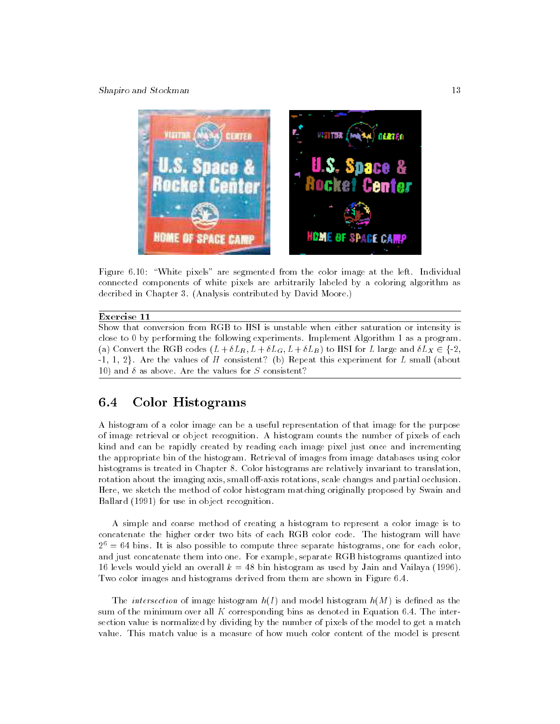Shapiro and Stockman 13



Figure 6.10: "White pixels" are segmented from the color image at the left. Individual connected components of white pixels are arbitrarily labeled by a coloring algorithm as decribed in Chapter 3. (Analysis contributed by David Moore.)

# Exercise 11

Show that conversion from RGB to HSI is unstable when either saturation or intensity is close to 0 by performing the following experiments. Implement Algorithm 1 as a program. (a) Convert the RGB codes  $(L + \delta L_R, L + \delta L_G, L + \delta L_B)$  to HSI for L large and  $\delta L_X \in \{-2,$  $-1, 1, 2$ . Are the values of H consistent? (b) Repeat this experiment for L small (about 10) and  $\delta$  as above. Are the values for S consistent?

#### 6.4Color Histograms

A histogram of a color image can be a useful representation of that image for the purpose of image retrieval or object recognition. A histogram counts the number of pixels of each kind and can be rapidly created by reading each image pixel just once and incrementing the appropriate bin of the histogram. Retrieval of images from image databases using color histograms is treated in Chapter 8. Color histograms are relatively invariant to translation, rotation about the imaging axis, small off-axis rotations, scale changes and partial occlusion. Here, we sketch the method of color histogram matching originally proposed by Swain and Ballard (1991) for use in object recognition.

A simple and coarse method of creating a histogram to represent a color image is to concatenate the higher order two bits of each RGB color code. The histogram will have  $2<sup>6</sup> = 64$  bins. It is also possible to compute three separate histograms, one for each color, and just concatenate them into one. For example, separate RGB histograms quantized into 16 levels would yield an overall  $k = 48$  bin histogram as used by Jain and Vailaya (1996). Two color images and histograms derived from them are shown in Figure 6.4.

The *intersection* of image histogram  $h(I)$  and model histogram  $h(M)$  is defined as the sum of the minimum over all  $K$  corresponding bins as denoted in Equation 6.4. The intersection value is normalized by dividing by the number of pixels of the model to get a match value. This match value is a measure of how much color content of the model is present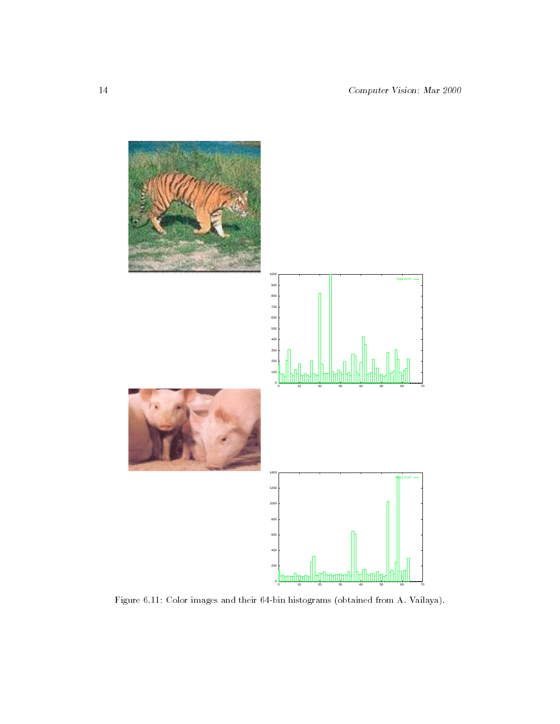

Figure 6.11: Color images and their 64-bin histograms (obtained from A. Vailaya).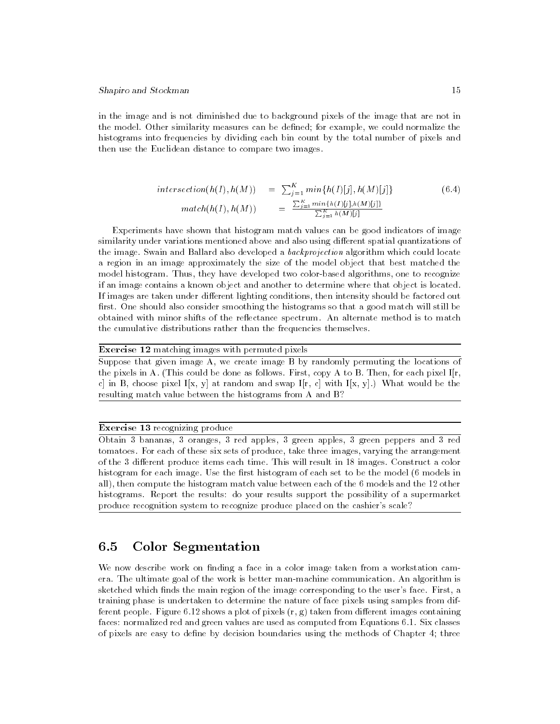in the image and is not diminished due to background pixels of the image that are not in the model. Other similarity measures can be defined; for example, we could normalize the histograms into frequencies by dividing each bin count by the total number of pixels and then use the Euclidean distance to compare two images.

$$
intersection(h(I), h(M)) = \sum_{j=1}^{K} min\{h(I)[j], h(M)[j]\}
$$
\n
$$
match(h(I), h(M)) = \frac{\sum_{j=1}^{K} min\{h(I)[j], h(M)[j]\}}{\sum_{j=1}^{K} h(M)[j]}
$$
\n(6.4)

Experiments have shown that histogram match values can be good indicators of image similarity under variations mentioned above and also using different spatial quantizations of the image. Swain and Ballard also developed a backprojection algorithm which could locate a region in an image approximately the size of the model object that best matched the model histogram. Thus, they have developed two color-based algorithms, one to recognize if an image contains a known object and another to determine where that object is located. If images are taken under different lighting conditions, then intensity should be factored out first. One should also consider smoothing the histograms so that a good match will still be obtained with minor shifts of the reflectance spectrum. An alternate method is to match the cumulative distributions rather than the frequencies themselves.

### Exercise 12 matching images with permuted pixels

Suppose that given image A, we create image B by randomly permuting the locations of the pixels in A. (This could be done as follows. First, copy A to B. Then, for each pixel  $I[r, \, \cdot]$ c] in B, choose pixel I[x, y] at random and swap I[r, c] with I[x, y].) What would be the resulting match value between the histograms from A and B?

### Exercise 13 recognizing produce

Obtain 3 bananas, 3 oranges, 3 red apples, 3 green apples, 3 green peppers and 3 red tomatoes. For each of these six sets of produce, take three images, varying the arrangement of the 3 different produce items each time. This will result in 18 images. Construct a color histogram for each image. Use the first histogram of each set to be the model (6 models in all), then compute the histogram match value between each of the 6 models and the 12 other histograms. Report the results: do your results support the possibility of a supermarket produce recognition system to recognize produce placed on the cashier's scale?

#### 6.5Color Segmentation

We now describe work on finding a face in a color image taken from a workstation camera. The ultimate goal of the work is better man-machine communication. An algorithm is sketched which finds the main region of the image corresponding to the user's face. First, a training phase is undertaken to determine the nature of face pixels using samples from different people. Figure 6.12 shows a plot of pixels  $(r, g)$  taken from different images containing faces: normalized red and green values are used as computed from Equations 6.1. Six classes of pixels are easy to define by decision boundaries using the methods of Chapter 4; three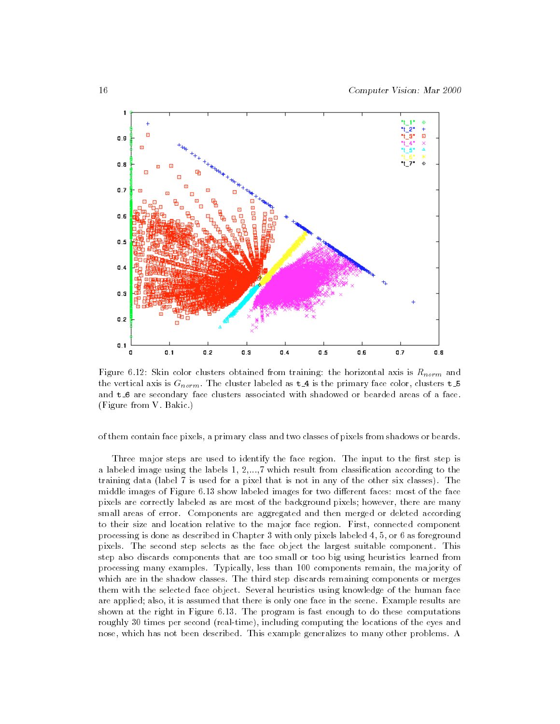

Figure 6.12: Skin color clusters obtained from training: the horizontal axis is  $R_{norm}$  and the vertical axis is  $G_{norm}$ . The cluster labeled as  $t = 4$  is the primary face color, clusters  $t = 5$ and t.6 are secondary face clusters associated with shadowed or bearded areas of a face. (Figure from V. Bakic.)

of them contain face pixels, a primary class and two classes of pixels from shadows or beards.

Three major steps are used to identify the face region. The input to the first step is a labeled image using the labels 1, 2,...,7 which result from classication according to the training data (label 7 is used for a pixel that is not in any of the other six classes). The middle images of Figure 6.13 show labeled images for two different faces: most of the face pixels are correctly labeled as are most of the background pixels; however, there are many small areas of error. Components are aggregated and then merged or deleted according to their size and location relative to the major face region. First, connected component processing is done as described in Chapter 3 with only pixels labeled 4, 5, or 6 as foreground pixels. The second step selects as the face object the largest suitable component. This step also discards components that are too small or too big using heuristics learned from processing many examples. Typically, less than 100 components remain, the majority of which are in the shadow classes. The third step discards remaining components or merges them with the selected face object. Several heuristics using knowledge of the human face are applied; also, it is assumed that there is only one face in the scene. Example results are shown at the right in Figure 6.13. The program is fast enough to do these computations roughly 30 times per second (real-time), including computing the locations of the eyes and nose, which has not been described. This example generalizes to many other problems. A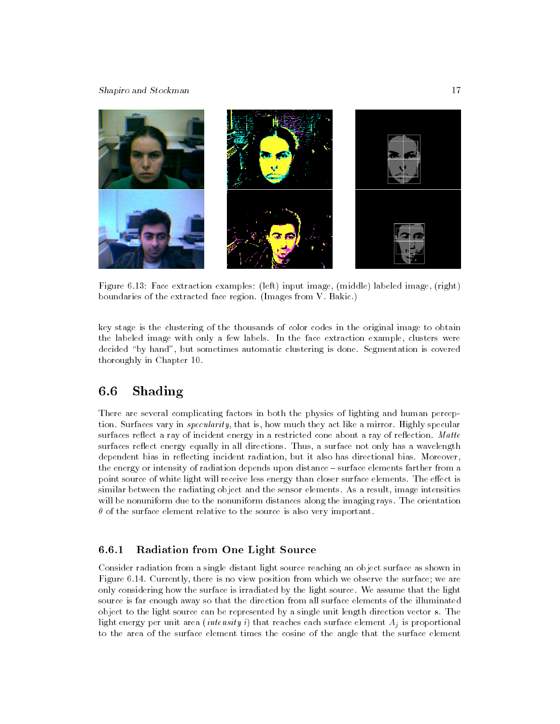### Shapiro and Stockman 17



Figure 6.13: Face extraction examples: (left) input image, (middle) labeled image, (right) boundaries of the extracted face region. (Images from V. Bakic.)

key stage is the clustering of the thousands of color codes in the original image to obtain the labeled image with only a few labels. In the face extraction example, clusters were decided \by hand", but sometimes automatic clustering is done. Segmentation is covered thoroughly in Chapter 10.

#### 6.6Shading

There are several complicating factors in both the physics of lighting and human perception. Surfaces vary in specularity, that is, how much they act like a mirror. Highly specular surfaces reflect a ray of incident energy in a restricted cone about a ray of reflection. Matte surfaces reflect energy equally in all directions. Thus, a surface not only has a wavelength dependent bias in reflecting incident radiation, but it also has directional bias. Moreover, the energy or intensity of radiation depends upon distance - surface elements farther from a point source of white light will receive less energy than closer surface elements. The effect is similar between the radiating object and the sensor elements. As a result, image intensities will be nonuniform due to the nonuniform distances along the imaging rays. The orientation  $\theta$  of the surface element relative to the source is also very important.

#### $6.6.1$ Radiation from One Light Source

Consider radiation from a single distant light source reaching an object surface as shown in Figure 6.14. Currently, there is no view position from which we observe the surface; we are only considering how the surface is irradiated by the light source. We assume that the light source is far enough away so that the direction from all surface elements of the illuminated object to the light source can be represented by a single unit length direction vector s. The light energy per unit area *(intensity i)* that reaches each surface element  $A_i$  is proportional to the area of the surface element times the cosine of the angle that the surface element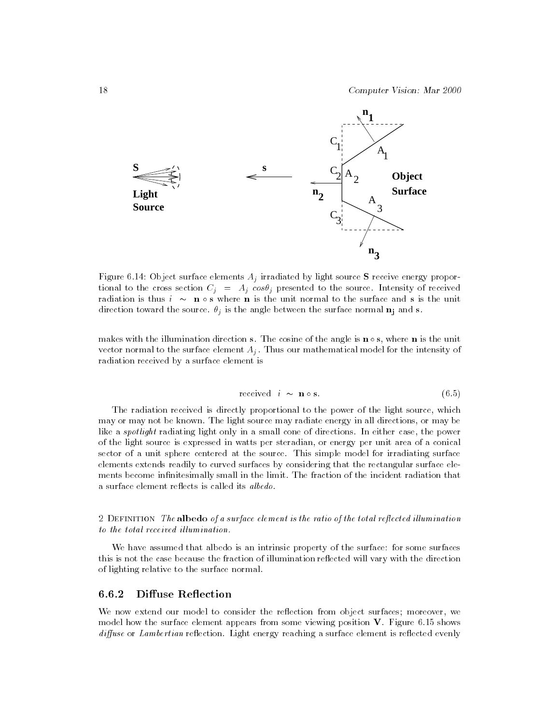

Figure 6.14: Object surface elements  $A_j$  irradiated by light source S receive energy proportional to the cross section  $C_j = A_j \cos\theta_j$  presented to the source. Intensity of received radiation is thus  $i \sim \mathbf{n} \circ \mathbf{s}$  where  $\mathbf{n}$  is the unit normal to the surface and s is the unit direction toward the source.  $\theta_j$  is the angle between the surface normal  $\mathbf{n_j}$  and s.

makes with the illumination direction s. The cosine of the angle is  $\mathbf{n} \circ \mathbf{s}$ , where  $\mathbf{n}$  is the unit vector normal to the surface element  $A_j$ . Thus our mathematical model for the intensity of radiation received by a surface element is

$$
received \quad i \sim \mathbf{n} \circ \mathbf{s}.\tag{6.5}
$$

The radiation received is directly proportional to the power of the light source, which may or may not be known. The light source may radiate energy in all directions, or may be like a *spotlight* radiating light only in a small cone of directions. In either case, the power of the light source is expressed in watts per steradian, or energy per unit area of a conical sector of a unit sphere centered at the source. This simple model for irradiating surface elements extends readily to curved surfaces by considering that the rectangular surface ele ments become infinitesimally small in the limit. The fraction of the incident radiation that a surface element reflects is called its albedo.

2 DEFINITION The albedo of a surface element is the ratio of the total reflected illumination to the total received illumination.

We have assumed that albedo is an intrinsic property of the surface: for some surfaces this is not the case because the fraction of illumination reflected will vary with the direction of lighting relative to the surface normal.

#### Diffuse Reflection 6.6.2

We now extend our model to consider the reflection from object surfaces; moreover, we model how the surface element appears from some viewing position V. Figure 6.15 shows diffuse or Lambertian reflection. Light energy reaching a surface element is reflected evenly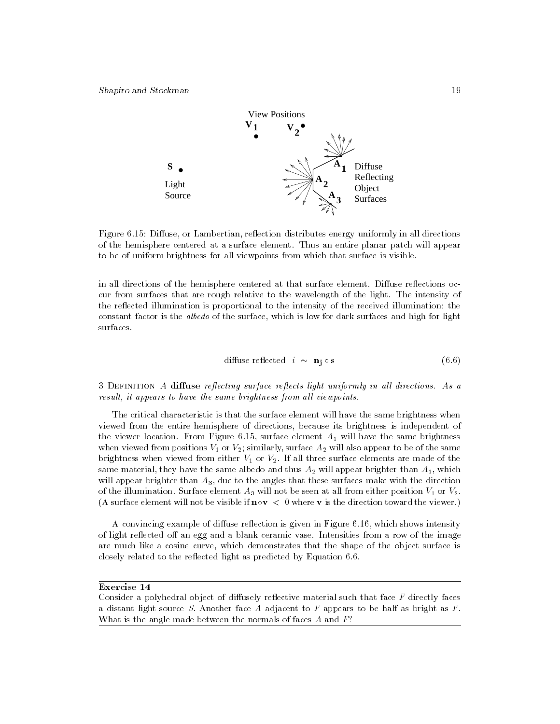

Figure 6.15: Diffuse, or Lambertian, reflection distributes energy uniformly in all directions of the hemisphere centered at a surface element. Thus an entire planar patch will appear to be of uniform brightness for all viewpoints from which that surface is visible.

in all directions of the hemisphere centered at that surface element. Diffuse reflections occur from surfaces that are rough relative to the wavelength of the light. The intensity of the reflected illumination is proportional to the intensity of the received illumination: the constant factor is the albedo of the surface, which is low for dark surfaces and high for light surfaces.

diffuse reflected 
$$
i \sim \mathbf{n}_j \circ \mathbf{s}
$$
 (6.6)

3 DEFINITION A diffuse reflecting surface reflects light uniformly in all directions. As a result, it appears to have the same brightness from all viewpoints.

The critical characteristic is that the surface element will have the same brightness when viewed from the entire hemisphere of directions, because its brightness is independent of the viewer location. From Figure 6.15, surface element  $A_1$  will have the same brightness when viewed from positions  $V_1$  or  $V_2$ ; similarly, surface  $A_2$  will also appear to be of the same brightness when viewed from either  $V_1$  or  $V_2$ . If all three surface elements are made of the same material, they have the same albedo and thus  $A_2$  will appear brighter than  $A_1$ , which will appear brighter than  $A_3$ , due to the angles that these surfaces make with the direction of the illumination. Surface element  $A_3$  will not be seen at all from either position  $V_1$  or  $V_2$ . (A surface element will not be visible if  $\mathbf{n} \circ \mathbf{v} < 0$  where  $\mathbf{v}$  is the direction toward the viewer.)

A convincing example of diffuse reflection is given in Figure 6.16, which shows intensity of light reflected off an egg and a blank ceramic vase. Intensities from a row of the image are much like a cosine curve, which demonstrates that the shape of the object surface is closely related to the reflected light as predicted by Equation 6.6.

### Exercise 14

Consider a polyhedral object of diffusely reflective material such that face  $F$  directly faces a distant light source S. Another face A adjacent to  $F$  appears to be half as bright as  $F$ . What is the angle made between the normals of faces A and  $F$ ?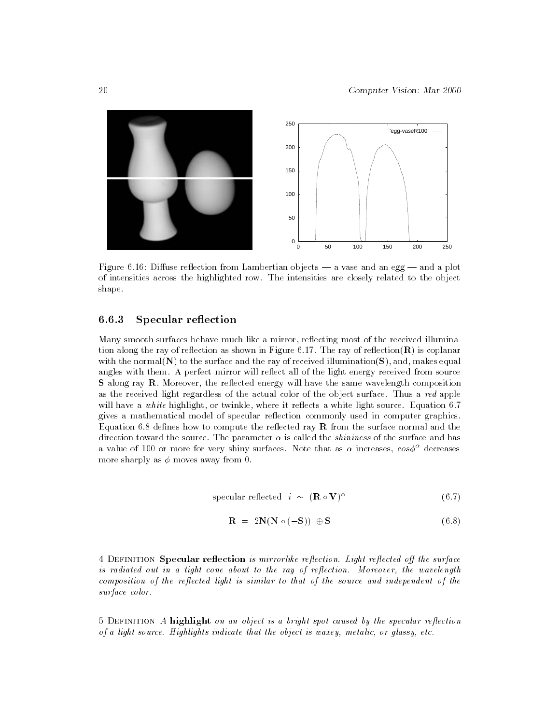

Figure 6.16: Diffuse reflection from Lambertian objects  $-$  a vase and an egg  $-$  and a plot of intensities across the highlighted row. The intensities are closely related to the object shape.

#### 6.6.3 Specular reflection

Many smooth surfaces behave much like a mirror, reflecting most of the received illumination along the ray of reflection as shown in Figure 6.17. The ray of reflection  $(\mathbf{R})$  is coplanar with the normal( $N$ ) to the surface and the ray of received illumination( $S$ ), and, makes equal angles with them. A perfect mirror will reflect all of the light energy received from source S along ray R. Moreover, the reflected energy will have the same wavelength composition as the received light regardless of the actual color of the object surface. Thus a red apple will have a white highlight, or twinkle, where it reflects a white light source. Equation 6.7 gives a mathematical model of specular reflection commonly used in computer graphics. Equation 6.8 defines how to compute the reflected ray  $\bf R$  from the surface normal and the direction toward the source. The parameter  $\alpha$  is called the *shininess* of the surface and has a value of 100 or more for very shiny surfaces. Note that as  $\alpha$  increases,  $\cos \phi^{\alpha}$  decreases more sharply as  $\phi$  moves away from 0.

$$
specialar reflected \quad i \sim (\mathbf{R} \circ \mathbf{V})^{\alpha} \tag{6.7}
$$

$$
\mathbf{R} = 2\mathbf{N}(\mathbf{N} \circ (-\mathbf{S})) \oplus \mathbf{S} \tag{6.8}
$$

4 DEFINITION Specular reflection is mirrorlike reflection. Light reflected off the surface is radiated out in a tight cone about to the ray of reflection. Moreover, the wavelength composition of the reflected light is similar to that of the source and independent of the surface color.

 $5$  DEFINITION A highlight on an object is a bright spot caused by the specular reflection of a light source. Highlights indicate that the object is waxey, metalic, or glassy, etc.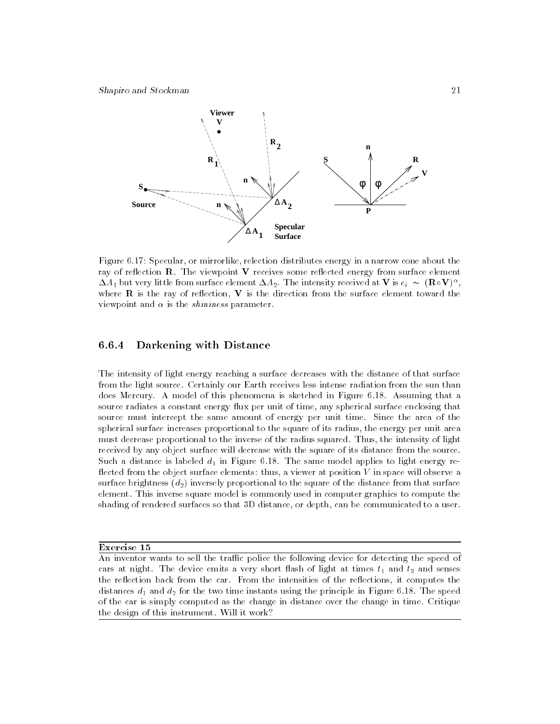

Figure 6.17: Specular, or mirrorlike, relection distributes energy in a narrow cone about the ray of reflection **. The viewpoint**  $**V**$  **receives some reflected energy from surface element**  $\Delta A_1$  but very little from surface element  $\Delta A_2$  . The intensity received at  ${\bf V}$  is  $e_i$   $\sim$   $\,({\bf K} \circ {\bf V}\,)^{\sim} ,$ where  $\bf{R}$  is the ray of reflection,  $\bf{V}$  is the direction from the surface element toward the viewpoint and  $\alpha$  is the *shininess* parameter.

#### 6.6.4 Darkening with Distance

The intensity of light energy reaching a surface decreases with the distance of that surface from the light source. Certainly our Earth receives less intense radiation from the sun than does Mercury. A model of this phenomena is sketched in Figure 6.18. Assuming that a source radiates a constant energy flux per unit of time, any spherical surface enclosing that source must intercept the same amount of energy per unit time. Since the area of the spherical surface increases proportional to the square of its radius, the energy per unit area must decrease proportional to the inverse of the radius squared. Thus, the intensity of light received by any object surface will decrease with the square of its distance from the source. Such a distance is labeled  $d_1$  in Figure 6.18. The same model applies to light energy reflected from the object surface elements: thus, a viewer at position  $V$  in space will observe a surface brightness  $(d_2)$  inversely proportional to the square of the distance from that surface element. This inverse square model is commonly used in computer graphics to compute the shading of rendered surfaces so that 3D distance, or depth, can be communicated to a user.

Exercise 15

An inventor wants to sell the traffic police the following device for detecting the speed of cars at night. The device emits a very short flash of light at times  $t_1$  and  $t_2$  and senses the reflection back from the car. From the intensities of the reflections, it computes the distances  $d_1$  and  $d_2$  for the two time instants using the principle in Figure 6.18. The speed of the car is simply computed as the change in distance over the change in time. Critique the design of this instrument. Will it work?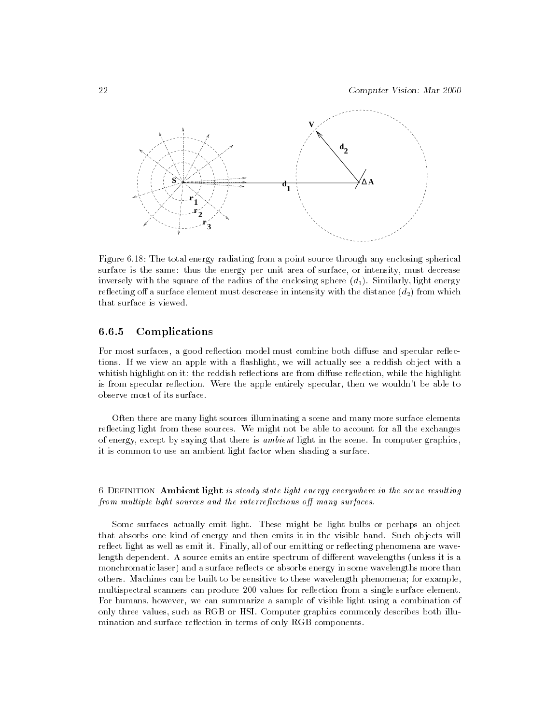

Figure 6.18: The total energy radiating from a point source through any enclosing spherical surface is the same: thus the energy per unit area of surface, or intensity, must decrease inversely with the square of the radius of the enclosing sphere  $(d_1)$ . Similarly, light energy reflecting off a surface element must descrease in intensity with the distance  $(d_2)$  from which that surface is viewed.

# 6.6.5 Complications

For most surfaces, a good reflection model must combine both diffuse and specular reflections. If we view an apple with a flashlight, we will actually see a reddish object with a whitish highlight on it: the reddish reflections are from diffuse reflection, while the highlight is from specular reflection. Were the apple entirely specular, then we wouldn't be able to observe most of its surface.

Often there are many light sources illuminating a scene and many more surface elements reflecting light from these sources. We might not be able to account for all the exchanges of energy, except by saying that there is ambient light in the scene. In computer graphics, it is common to use an ambient light factor when shading a surface.

# 6 DEFINITION Ambient light is steady state light energy everywhere in the scene resulting from multiple light sources and the interreflections off many surfaces.

Some surfaces actually emit light. These might be light bulbs or perhaps an object that absorbs one kind of energy and then emits it in the visible band. Such objects will reflect light as well as emit it. Finally, all of our emitting or reflecting phenomena are wavelength dependent. A source emits an entire spectrum of different wavelengths (unless it is a monchromatic laser) and a surface reflects or absorbs energy in some wavelengths more than others. Machines can be built to be sensitive to these wavelength phenomena; for example, multispectral scanners can produce 200 values for reflection from a single surface element. For humans, however, we can summarize a sample of visible light using a combination of only three values, such as RGB or HSI. Computer graphics commonly describes both illumination and surface reflection in terms of only RGB components.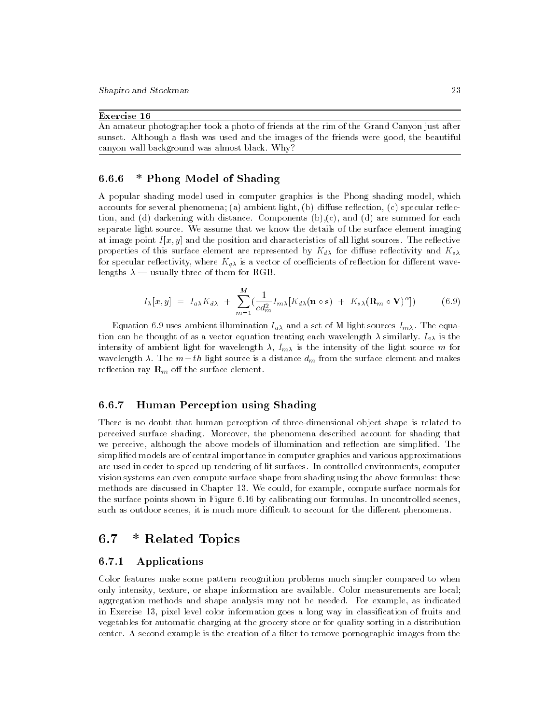### Exercise 16

An amateur photographer took a photo of friends at the rim of the Grand Canyon just after sunset. Although a flash was used and the images of the friends were good, the beautiful canyon wall background was almost black. Why?

# 6.6.6 \* Phong Model of Shading

A popular shading model used in computer graphics is the Phong shading model, which accounts for several phenomena; (a) ambient light, (b) diffuse reflection, (c) specular reflection, and (d) darkening with distance. Components  $(b)$ ,  $(c)$ , and  $(d)$  are summed for each separate light source. We assume that we know the details of the surface element imaging at image point  $I[x, y]$  and the position and characteristics of all light sources. The reflective properties of this surface element are represented by  $K_{d\lambda}$  for diffuse reflectivity and  $K_{s\lambda}$ for specular reflectivity, where  $K_{q\lambda}$  is a vector of coefficients of reflection for different wavelengths  $\lambda$  — usually three of them for RGB.

$$
I_{\lambda}[x, y] = I_{a\lambda}K_{d\lambda} + \sum_{m=1}^{M} \left(\frac{1}{cd_m^2}I_{m\lambda}[K_{d\lambda}(\mathbf{n}\circ\mathbf{s}) + K_{s\lambda}(\mathbf{R}_m\circ\mathbf{V})^{\alpha}]\right)
$$
(6.9)

Equation 6.9 uses ambient illumination  $I_{a\lambda}$  and a set of M light sources  $I_{m\lambda}$ . The equation can be thought of as a vector equation treating each wavelength  $\lambda$  similarly.  $I_{a\lambda}$  is the intensity of ambient light for wavelength  $\lambda$ ,  $I_{m\lambda}$  is the intensity of the light source m for wavelength  $\lambda$ . The  $m-th$  light source is a distance  $d_m$  from the surface element and makes reflection ray  $\mathbf{R}_m$  off the surface element.

#### 6.6.7 Human Perception using Shading  $6.6.7$

There is no doubt that human perception of three-dimensional object shape is related to perceived surface shading. Moreover, the phenomena described account for shading that we perceive, although the above models of illumination and reflection are simplified. The simplified models are of central importance in computer graphics and various approximations are used in order to speed up rendering of lit surfaces. In controlled environments, computer vision systems can even compute surface shape from shading using the above formulas: these methods are discussed in Chapter 13. We could, for example, compute surface normals for the surface points shown in Figure 6.16 by calibrating our formulas. In uncontrolled scenes, such as outdoor scenes, it is much more difficult to account for the different phenomena.

#### 6.7\* Related Topics

### 6.7.1 Applications

Color features make some pattern recognition problems much simpler compared to when only intensity, texture, or shape information are available. Color measurements are local; aggregation methods and shape analysis may not be needed. For example, as indicated in Exercise 13, pixel level color information goes a long way in classification of fruits and vegetables for automatic charging at the grocery store or for quality sorting in a distribution center. A second example is the creation of a filter to remove pornographic images from the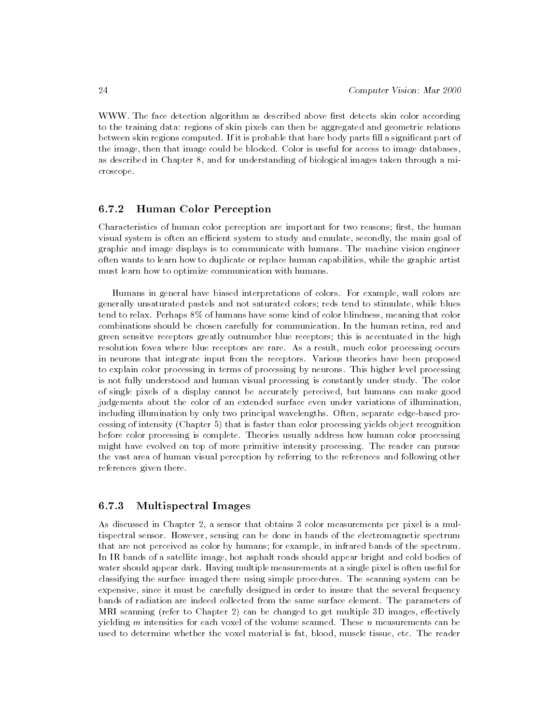WWW. The face detection algorithm as described above first detects skin color according to the training data: regions of skin pixels can then be aggregated and geometric relations between skin regions computed. If it is probable that bare body parts fill a significant part of the image, then that image could be blocked. Color is useful for access to image databases, as described in Chapter 8, and for understanding of biological images taken through a microscope.

# 6.7.2 Human Color Perception

Characteristics of human color perception are important for two reasons; first, the human visual system is often an efficient system to study and emulate, secondly, the main goal of graphic and image displays is to communicate with humans. The machine vision engineer often wants to learn how to duplicate or replace human capabilities, while the graphic artist must learn how to optimize communication with humans.

Humans in general have biased interpretations of colors. For example, wall colors are generally unsaturated pastels and not saturated colors; reds tend to stimulate, while blues tend to relax. Perhaps 8% of humans have some kind of color blindness, meaning that color combinations should be chosen carefully for communication. In the human retina, red and green sensitve receptors greatly outnumber blue receptors; this is accentuated in the high resolution fovea where blue receptors are rare. As a result, much color processing occurs in neurons that integrate input from the receptors. Various theories have been proposed to explain color processing in terms of processing by neurons. This higher level processing is not fully understood and human visual processing is constantly under study. The color of single pixels of a display cannot be accurately perceived, but humans can make good judgements about the color of an extended surface even under variations of illumination, including illumination by only two principal wavelengths. Often, separate edge-based processing of intensity (Chapter 5) that is faster than color processing yields object recognition before color processing is complete. Theories usually address how human color processing might have evolved on top of more primitive intensity processing. The reader can pursue the vast area of human visual perception by referring to the references and following other references given there.

#### 6.7.3 6.7.3 Multispectral Images

As discussed in Chapter 2, a sensor that obtains 3 color measurements per pixel is a multispectral sensor. However, sensing can be done in bands of the electromagnetic spectrum that are not perceived as color by humans; for example, in infrared bands of the spectrum. In IR bands of a satellite image, hot asphalt roads should appear bright and cold bodies of water should appear dark. Having multiple measurements at a single pixel is often useful for classifying the surface imaged there using simple procedures. The scanning system can be expensive, since it must be carefully designed in order to insure that the several frequency bands of radiation are indeed collected from the same surface element. The parameters of MRI scanning (refer to Chapter 2) can be changed to get multiple  $3D$  images, effectively yielding  $m$  intensities for each voxel of the volume scanned. These  $n$  measurements can be used to determine whether the voxel material is fat, blood, muscle tissue, etc. The reader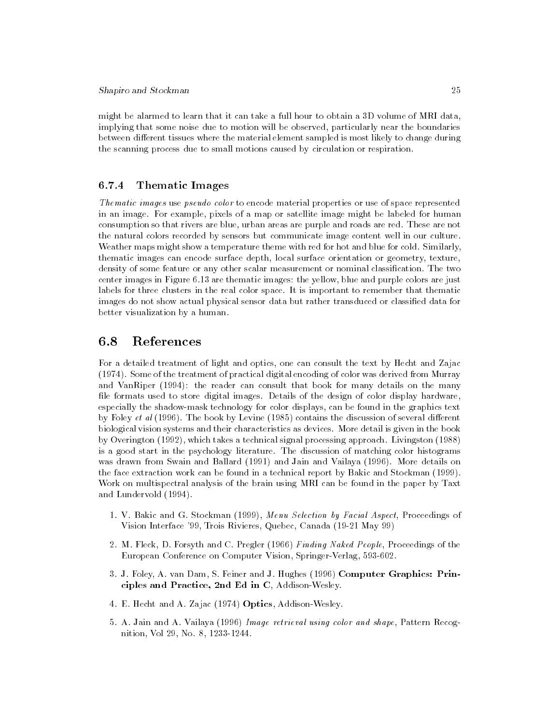might be alarmed to learn that it can take a full hour to obtain a 3D volume of MRI data, implying that some noise due to motion will be observed, particularly near the boundaries between different tissues where the material element sampled is most likely to change during the scanning process due to small motions caused by circulation or respiration.

# 6.7.4 Thematic Images

Thematic images use pseudo color to encode material properties or use of space represented in an image. For example, pixels of a map or satellite image might be labeled for human consumption so that rivers are blue, urban areas are purple and roads are red. These are not the natural colors recorded by sensors but communicate image content well in our culture. Weather maps might show a temperature theme with red for hot and blue for cold. Similarly, thematic images can encode surface depth, local surface orientation or geometry, texture, density of some feature or any other scalar measurement or nominal classication. The two center images in Figure 6.13 are thematic images: the yellow, blue and purple colors are just labels for three clusters in the real color space. It is important to remember that thematic images do not show actual physical sensor data but rather transduced or classified data for better visualization by a human.

#### 6.8References

For a detailed treatment of light and optics, one can consult the text by Hecht and Zajac (1974). Some of the treatment of practical digital encoding of color was derived from Murray and VanRiper (1994): the reader can consult that book for many details on the many file formats used to store digital images. Details of the design of color display hardware, especially the shadow-mask technology for color displays, can be found in the graphics text by Foley et al  $(1996)$ . The book by Levine  $(1985)$  contains the discussion of several different biological vision systems and their characteristics as devices. More detail is given in the book by Overington (1992), which takes a technical signal processing approach. Livingston (1988) is a good start in the psychology literature. The discussion of matching color histograms was drawn from Swain and Ballard (1991) and Jain and Vailaya (1996). More details on the face extraction work can be found in a technical report by Bakic and Stockman (1999). Work on multispectral analysis of the brain using MRI can be found in the paper by Taxt and Lundervold (1994).

- 1. V. Bakic and G. Stockman (1999), Menu Selection by Facial Aspect, Proceedings of Vision Interface '99, Trois Rivieres, Quebec, Canada (19-21 May 99)
- 2. M. Fleck, D. Forsyth and C. Pregler (1966) Finding Naked People, Proceedings of the European Conference on Computer Vision, Springer-Verlag, 593-602.
- 3. J. Foley, A. van Dam, S. Feiner and J. Hughes (1996) Computer Graphics: Principles and Practice, 2nd Ed in C, Addison-Wesley.
- 4. E. Hecht and A. Zajac (1974) Optics, Addison-Wesley.
- 5. A. Jain and A. Vailaya (1996) Image retrieval using color and shape, Pattern Recognition, Vol 29, No. 8, 1233-1244.